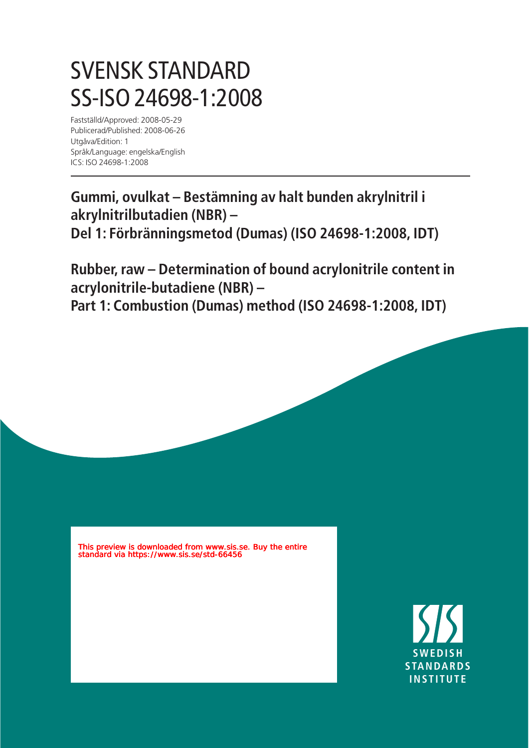## SVENSK STANDARD SS-ISO 24698-1:2008

Fastställd/Approved: 2008-05-29 Publicerad/Published: 2008-06-26 Utgåva/Edition: 1 Språk/Language: engelska/English ICS: ISO 24698-1:2008

**Gummi, ovulkat – Bestämning av halt bunden akrylnitril i akrylnitrilbutadien (NBR) – Del 1: Förbränningsmetod (Dumas) (ISO 24698-1:2008, IDT)**

**Rubber, raw – Determination of bound acrylonitrile content in acrylonitrile-butadiene (NBR) –** 

**Part 1: Combustion (Dumas) method (ISO 24698-1:2008, IDT)**

This preview is downloaded from www.sis.se. Buy the entire standard via https://www.sis.se/std-66456

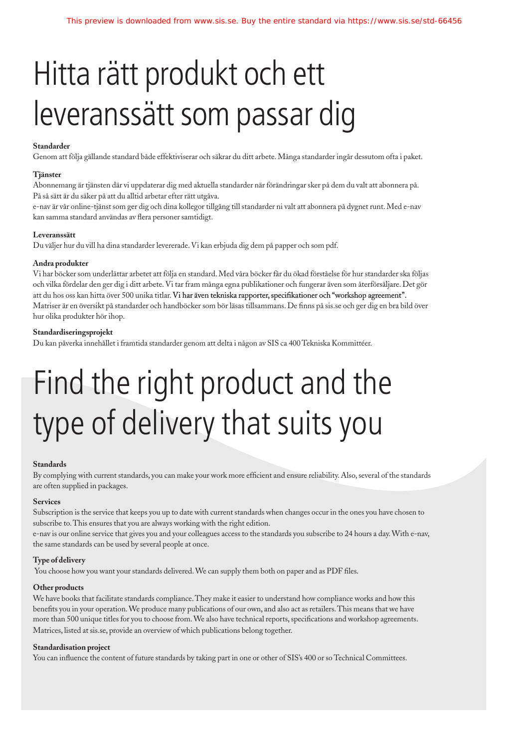## Hitta rätt produkt och ett leveranssätt som passar dig

## **Standarder**

Genom att följa gällande standard både effektiviserar och säkrar du ditt arbete. Många standarder ingår dessutom ofta i paket.

## **Tjänster**

Abonnemang är tjänsten där vi uppdaterar dig med aktuella standarder när förändringar sker på dem du valt att abonnera på. På så sätt är du säker på att du alltid arbetar efter rätt utgåva.

e-nav är vår online-tjänst som ger dig och dina kollegor tillgång till standarder ni valt att abonnera på dygnet runt. Med e-nav kan samma standard användas av flera personer samtidigt.

## **Leveranssätt**

Du väljer hur du vill ha dina standarder levererade. Vi kan erbjuda dig dem på papper och som pdf.

## **Andra produkter**

Vi har böcker som underlättar arbetet att följa en standard. Med våra böcker får du ökad förståelse för hur standarder ska följas och vilka fördelar den ger dig i ditt arbete. Vi tar fram många egna publikationer och fungerar även som återförsäljare. Det gör att du hos oss kan hitta över 500 unika titlar. Vi har även tekniska rapporter, specifikationer och "workshop agreement". Matriser är en översikt på standarder och handböcker som bör läsas tillsammans. De finns på sis.se och ger dig en bra bild över hur olika produkter hör ihop.

## **Standardiseringsprojekt**

Du kan påverka innehållet i framtida standarder genom att delta i någon av SIS ca 400 Tekniska Kommittéer.

# Find the right product and the type of delivery that suits you

### **Standards**

By complying with current standards, you can make your work more efficient and ensure reliability. Also, several of the standards are often supplied in packages.

### **Services**

Subscription is the service that keeps you up to date with current standards when changes occur in the ones you have chosen to subscribe to. This ensures that you are always working with the right edition.

e-nav is our online service that gives you and your colleagues access to the standards you subscribe to 24 hours a day. With e-nav, the same standards can be used by several people at once.

### **Type of delivery**

You choose how you want your standards delivered. We can supply them both on paper and as PDF files.

### **Other products**

We have books that facilitate standards compliance. They make it easier to understand how compliance works and how this benefits you in your operation. We produce many publications of our own, and also act as retailers. This means that we have more than 500 unique titles for you to choose from. We also have technical reports, specifications and workshop agreements. Matrices, listed at sis.se, provide an overview of which publications belong together.

### **Standardisation project**

You can influence the content of future standards by taking part in one or other of SIS's 400 or so Technical Committees.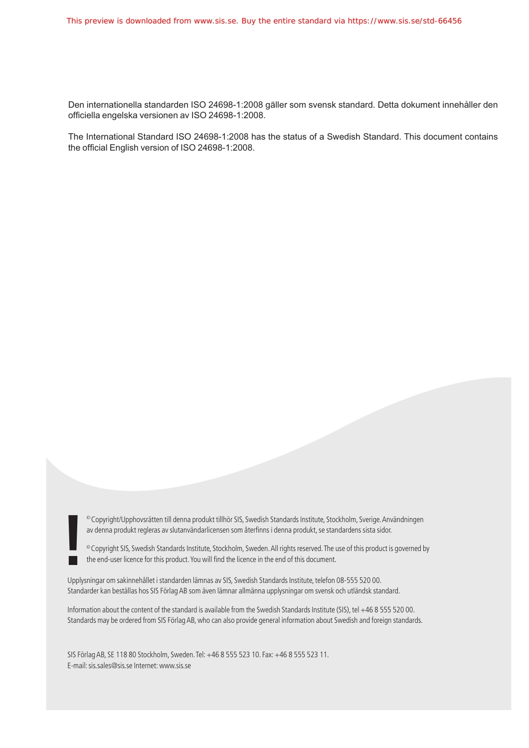Den internationella standarden ISO 24698-1:2008 gäller som svensk standard. Detta dokument innehåller den officiella engelska versionen av ISO 24698-1:2008.

The International Standard ISO 24698-1:2008 has the status of a Swedish Standard. This document contains the official English version of ISO 24698-1:2008.

av denna produkt regleras av slutanvändarlicensen som återfinns i denna produkt, se standardens sista sidor.

<sup>©</sup> Copyright/Upphovsrätten till denna produkt tillhör SIS, Swedish Standards Institute, Stockholm, Sverige. Användningen<br>av denna produkt regleras av slutanvändarlicensen som återfinns i denna produkt, se standardens sis

Upplysningar om sakinnehållet i standarden lämnas av SIS, Swedish Standards Institute, telefon 08-555 520 00. Standarder kan beställas hos SIS Förlag AB som även lämnar allmänna upplysningar om svensk och utländsk standard.

Information about the content of the standard is available from the Swedish Standards Institute (SIS), tel +46 8 555 520 00. Standards may be ordered from SIS Förlag AB, who can also provide general information about Swedish and foreign standards.

SIS Förlag AB, SE 118 80 Stockholm, Sweden. Tel: +46 8 555 523 10. Fax: +46 8 555 523 11. E-mail: sis.sales@sis.se Internet: www.sis.se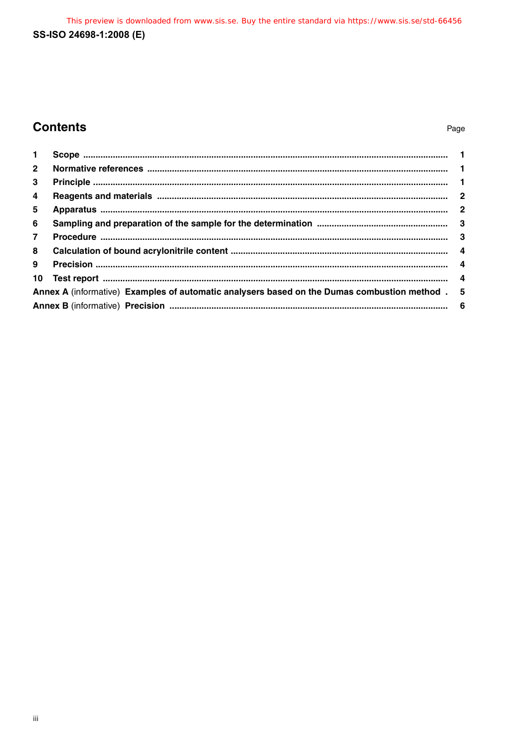This preview is downloaded from www.sis.se. Buy the entire standard via https://www.sis.se/std-66456 SS-ISO 24698-1:2008 (E)

## **Contents**

## Page

| $\mathbf 1$    |                                                                                                |  |
|----------------|------------------------------------------------------------------------------------------------|--|
| $\overline{2}$ |                                                                                                |  |
| 3              |                                                                                                |  |
| 4              |                                                                                                |  |
| 5              |                                                                                                |  |
| 6              |                                                                                                |  |
| $\overline{7}$ |                                                                                                |  |
| 8              |                                                                                                |  |
| 9              |                                                                                                |  |
| 10             |                                                                                                |  |
|                | Annex A (informative) Examples of automatic analysers based on the Dumas combustion method . 5 |  |
|                |                                                                                                |  |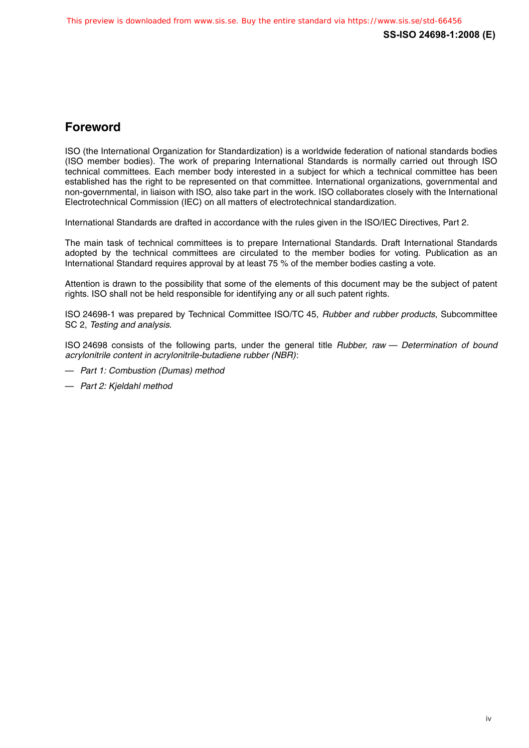## **Foreword**

ISO (the International Organization for Standardization) is a worldwide federation of national standards bodies (ISO member bodies). The work of preparing International Standards is normally carried out through ISO technical committees. Each member body interested in a subject for which a technical committee has been established has the right to be represented on that committee. International organizations, governmental and non-governmental, in liaison with ISO, also take part in the work. ISO collaborates closely with the International Electrotechnical Commission (IEC) on all matters of electrotechnical standardization.

International Standards are drafted in accordance with the rules given in the ISO/IEC Directives, Part 2.

The main task of technical committees is to prepare International Standards. Draft International Standards adopted by the technical committees are circulated to the member bodies for voting. Publication as an International Standard requires approval by at least 75 % of the member bodies casting a vote.

Attention is drawn to the possibility that some of the elements of this document may be the subject of patent rights. ISO shall not be held responsible for identifying any or all such patent rights.

ISO 24698-1 was prepared by Technical Committee ISO/TC 45, Rubber and rubber products, Subcommittee SC 2, Testing and analysis.

ISO 24698 consists of the following parts, under the general title Rubber, raw — Determination of bound acrylonitrile content in acrylonitrile-butadiene rubber (NBR):

- Part 1: Combustion (Dumas) method
- Part 2: Kjeldahl method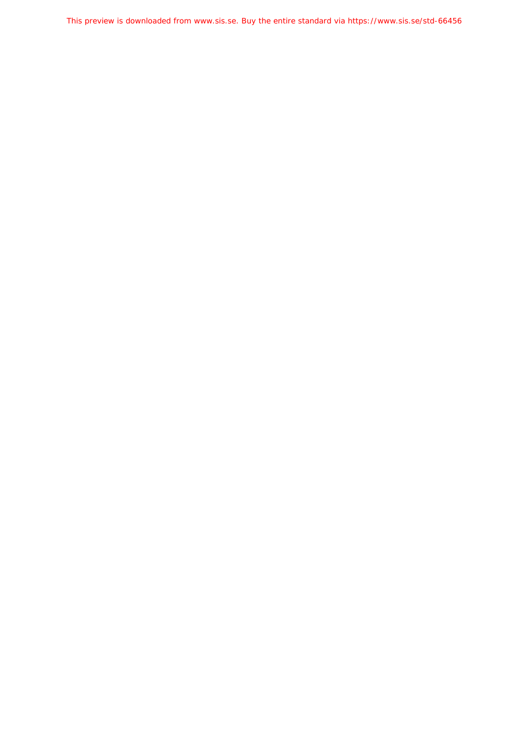This preview is downloaded from www.sis.se. Buy the entire standard via https://www.sis.se/std-66456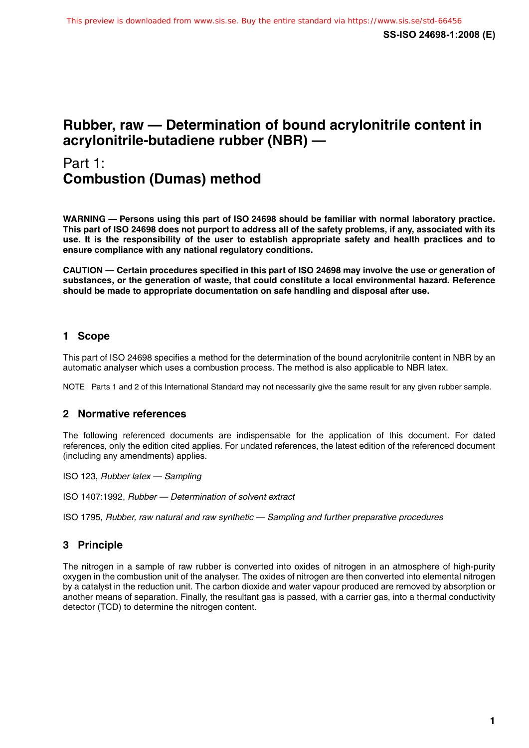## **Rubber, raw — Determination of bound acrylonitrile content in acrylonitrile-butadiene rubber (NBR) —**

## Part 1: **Combustion (Dumas) method**

**WARNING — Persons using this part of ISO 24698 should be familiar with normal laboratory practice. This part of ISO 24698 does not purport to address all of the safety problems, if any, associated with its use. It is the responsibility of the user to establish appropriate safety and health practices and to ensure compliance with any national regulatory conditions.**

**CAUTION — Certain procedures specified in this part of ISO 24698 may involve the use or generation of substances, or the generation of waste, that could constitute a local environmental hazard. Reference should be made to appropriate documentation on safe handling and disposal after use.**

## **1 Scope**

This part of ISO 24698 specifies a method for the determination of the bound acrylonitrile content in NBR by an automatic analyser which uses a combustion process. The method is also applicable to NBR latex.

NOTE Parts 1 and 2 of this International Standard may not necessarily give the same result for any given rubber sample.

## **2 Normative references**

The following referenced documents are indispensable for the application of this document. For dated references, only the edition cited applies. For undated references, the latest edition of the referenced document (including any amendments) applies.

ISO 123, Rubber latex — Sampling

ISO 1407:1992, Rubber — Determination of solvent extract

ISO 1795, Rubber, raw natural and raw synthetic — Sampling and further preparative procedures

## **3 Principle**

The nitrogen in a sample of raw rubber is converted into oxides of nitrogen in an atmosphere of high-purity oxygen in the combustion unit of the analyser. The oxides of nitrogen are then converted into elemental nitrogen by a catalyst in the reduction unit. The carbon dioxide and water vapour produced are removed by absorption or another means of separation. Finally, the resultant gas is passed, with a carrier gas, into a thermal conductivity detector (TCD) to determine the nitrogen content.